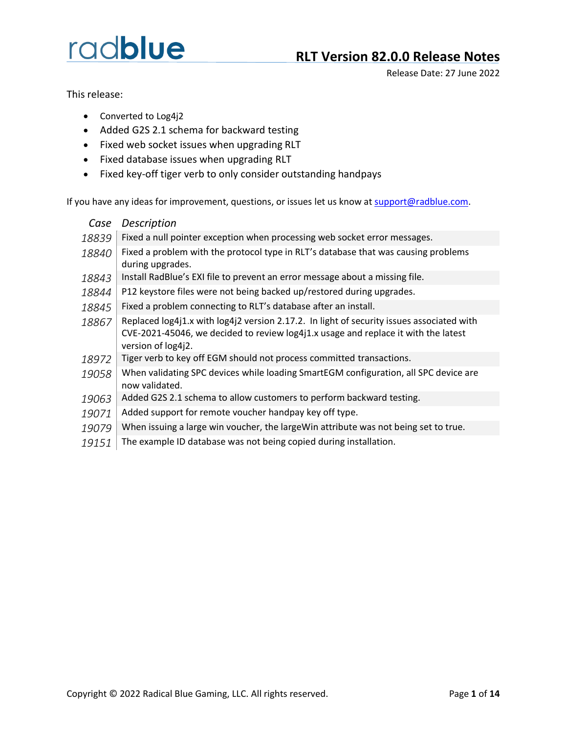Release Date: 27 June 2022

This release:

- Converted to Log4j2
- Added G2S 2.1 schema for backward testing
- Fixed web socket issues when upgrading RLT
- Fixed database issues when upgrading RLT
- Fixed key-off tiger verb to only consider outstanding handpays

If you have any ideas for improvement, questions, or issues let us know a[t support@radblue.com.](mailto:support@radblue.com)

| Case  | <b>Description</b>                                                                                                                                                                                    |
|-------|-------------------------------------------------------------------------------------------------------------------------------------------------------------------------------------------------------|
| 18839 | Fixed a null pointer exception when processing web socket error messages.                                                                                                                             |
| 18840 | Fixed a problem with the protocol type in RLT's database that was causing problems<br>during upgrades.                                                                                                |
| 18843 | Install RadBlue's EXI file to prevent an error message about a missing file.                                                                                                                          |
| 18844 | P12 keystore files were not being backed up/restored during upgrades.                                                                                                                                 |
| 18845 | Fixed a problem connecting to RLT's database after an install.                                                                                                                                        |
| 18867 | Replaced log4j1.x with log4j2 version 2.17.2. In light of security issues associated with<br>CVE-2021-45046, we decided to review log4j1.x usage and replace it with the latest<br>version of log4j2. |
| 18972 | Tiger verb to key off EGM should not process committed transactions.                                                                                                                                  |
| 19058 | When validating SPC devices while loading SmartEGM configuration, all SPC device are<br>now validated.                                                                                                |
| 19063 | Added G2S 2.1 schema to allow customers to perform backward testing.                                                                                                                                  |
| 19071 | Added support for remote voucher handpay key off type.                                                                                                                                                |
| 19079 | When issuing a large win voucher, the largeWin attribute was not being set to true.                                                                                                                   |

19151 The example ID database was not being copied during installation.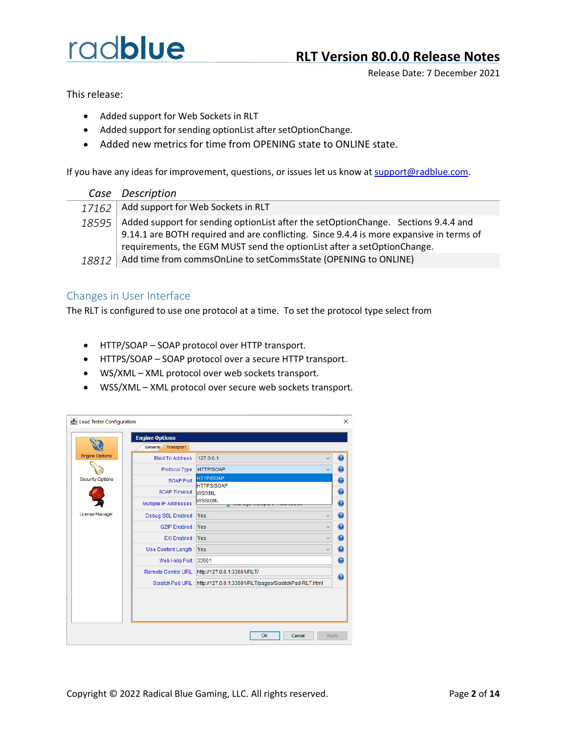Release Date: 7 December 2021

This release:

- Added support for Web Sockets in RLT
- Added support for sending optionList after setOptionChange.
- Added new metrics for time from OPENING state to ONLINE state.

If you have any ideas for improvement, questions, or issues let us know a[t support@radblue.com.](mailto:support@radblue.com)

|  | Case | Description |
|--|------|-------------|
|--|------|-------------|

- 17162 | Add support for Web Sockets in RLT
- 18595 Added support for sending optionList after the setOptionChange. Sections 9.4.4 and 9.14.1 are BOTH required and are conflicting. Since 9.4.4 is more expansive in terms of requirements, the EGM MUST send the optionList after a setOptionChange.
- 18812 Add time from commsOnLine to setCommsState (OPENING to ONLINE)

#### Changes in User Interface

The RLT is configured to use one protocol at a time. To set the protocol type select from

- HTTP/SOAP SOAP protocol over HTTP transport.
- HTTPS/SOAP SOAP protocol over a secure HTTP transport.
- WS/XML XML protocol over web sockets transport.
- WSS/XML XML protocol over secure web sockets transport.

| Load Tester Configuration |                            |                                                                       | ×                       |
|---------------------------|----------------------------|-----------------------------------------------------------------------|-------------------------|
|                           | <b>Engine Options</b>      |                                                                       |                         |
|                           | General Transport          |                                                                       |                         |
| <b>Engine Options</b>     | Bind To Address: 127.0.0.1 |                                                                       | $\bullet$               |
|                           | Protocol Type: HTTP/SOAP   |                                                                       | $\bullet$               |
| <b>Security Options</b>   | SOAP Port:                 | <b>HTTP/SOAP</b>                                                      | $\bullet$               |
|                           | SOAP Timeout: WS/XML       | <b>HTTPS/SOAP</b>                                                     | $\overline{\mathbf{Q}}$ |
|                           | Multiple IP Addresses :    | <b>WSS/XML</b>                                                        | $\bullet$               |
| <b>License Manager</b>    |                            | $\checkmark$                                                          | $\bullet$               |
|                           | Debug SSL Enabled: Yes     |                                                                       |                         |
|                           | <b>GZIP Enabled: Yes</b>   | $\checkmark$                                                          | $\mathbf 0$             |
|                           | <b>EXI Enabled: Yes</b>    |                                                                       | $\bullet$               |
|                           | Use Content Length: Yes    |                                                                       | $\bullet$               |
|                           | Web Help Port: 33901       |                                                                       | $\mathbf 0$             |
|                           |                            | Remote Control URL: http://127.0.0.1:33501/RLT/                       |                         |
|                           |                            | Scratch Pad URL: http://127.0.0.1:33501/RLT/pages/ScratchPad-RLT.html | 0                       |
|                           |                            |                                                                       |                         |
|                           |                            |                                                                       |                         |
|                           |                            |                                                                       |                         |
|                           |                            |                                                                       |                         |
|                           |                            |                                                                       |                         |
|                           |                            | <b>OK</b><br>Cancel<br>Apply                                          |                         |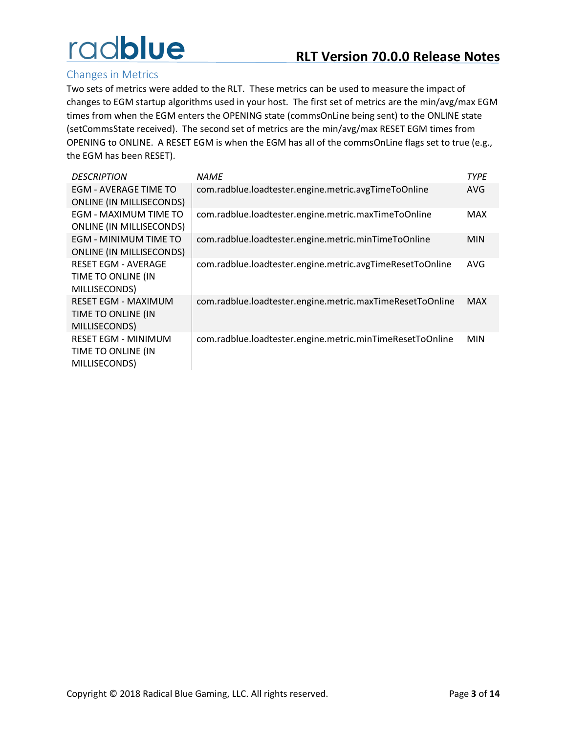### Changes in Metrics

Two sets of metrics were added to the RLT. These metrics can be used to measure the impact of changes to EGM startup algorithms used in your host. The first set of metrics are the min/avg/max EGM times from when the EGM enters the OPENING state (commsOnLine being sent) to the ONLINE state (setCommsState received). The second set of metrics are the min/avg/max RESET EGM times from OPENING to ONLINE. A RESET EGM is when the EGM has all of the commsOnLine flags set to true (e.g., the EGM has been RESET).

| <b>DESCRIPTION</b>              | NAME                                                      | <b>TYPE</b> |
|---------------------------------|-----------------------------------------------------------|-------------|
| EGM - AVERAGE TIME TO           | com.radblue.loadtester.engine.metric.avgTimeToOnline      | <b>AVG</b>  |
| <b>ONLINE (IN MILLISECONDS)</b> |                                                           |             |
| EGM - MAXIMUM TIME TO           | com.radblue.loadtester.engine.metric.maxTimeToOnline      | MAX         |
| <b>ONLINE (IN MILLISECONDS)</b> |                                                           |             |
| EGM - MINIMUM TIME TO           | com.radblue.loadtester.engine.metric.minTimeToOnline      | <b>MIN</b>  |
| ONLINE (IN MILLISECONDS)        |                                                           |             |
| <b>RESET EGM - AVERAGE</b>      | com.radblue.loadtester.engine.metric.avgTimeResetToOnline | AVG         |
| TIME TO ONLINE (IN              |                                                           |             |
| MILLISECONDS)                   |                                                           |             |
| <b>RESET EGM - MAXIMUM</b>      | com.radblue.loadtester.engine.metric.maxTimeResetToOnline | MAX         |
| TIME TO ONLINE (IN              |                                                           |             |
| MILLISECONDS)                   |                                                           |             |
| <b>RESET EGM - MINIMUM</b>      | com.radblue.loadtester.engine.metric.minTimeResetToOnline | <b>MIN</b>  |
| TIME TO ONLINE (IN              |                                                           |             |
| MILLISECONDS)                   |                                                           |             |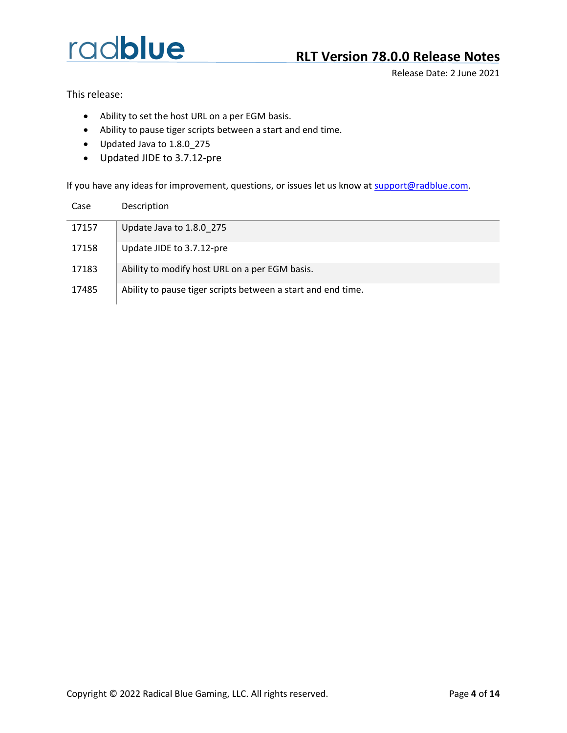### **RLT Version 78.0.0 Release Notes**

Release Date: 2 June 2021

This release:

- Ability to set the host URL on a per EGM basis.
- Ability to pause tiger scripts between a start and end time.
- Updated Java to 1.8.0\_275
- Updated JIDE to 3.7.12-pre

| Case  | Description                                                  |
|-------|--------------------------------------------------------------|
| 17157 | Update Java to 1.8.0 275                                     |
| 17158 | Update JIDE to 3.7.12-pre                                    |
| 17183 | Ability to modify host URL on a per EGM basis.               |
| 17485 | Ability to pause tiger scripts between a start and end time. |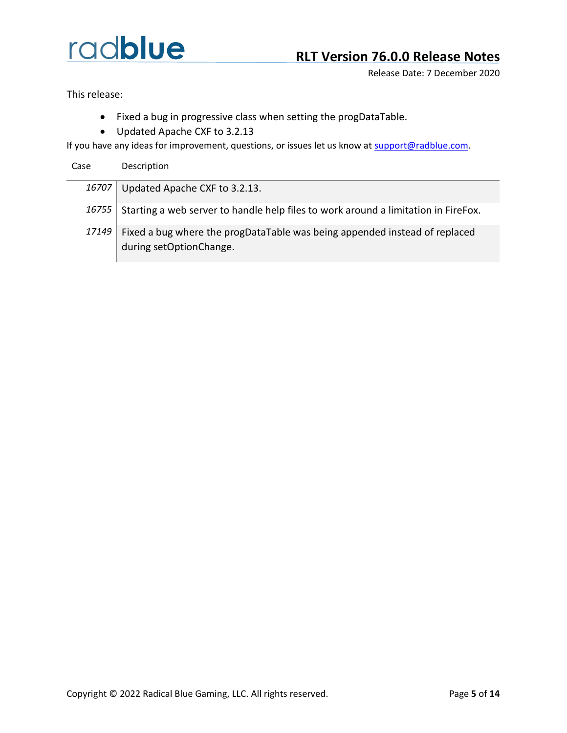Release Date: 7 December 2020

This release:

- Fixed a bug in progressive class when setting the progDataTable.
- Updated Apache CXF to 3.2.13

| Case | Description |
|------|-------------|
|      |             |

| 16707 Updated Apache CXF to 3.2.13. |
|-------------------------------------|
|-------------------------------------|

- 16755 Starting a web server to handle help files to work around a limitation in FireFox.
- 17149 Fixed a bug where the progDataTable was being appended instead of replaced during setOptionChange.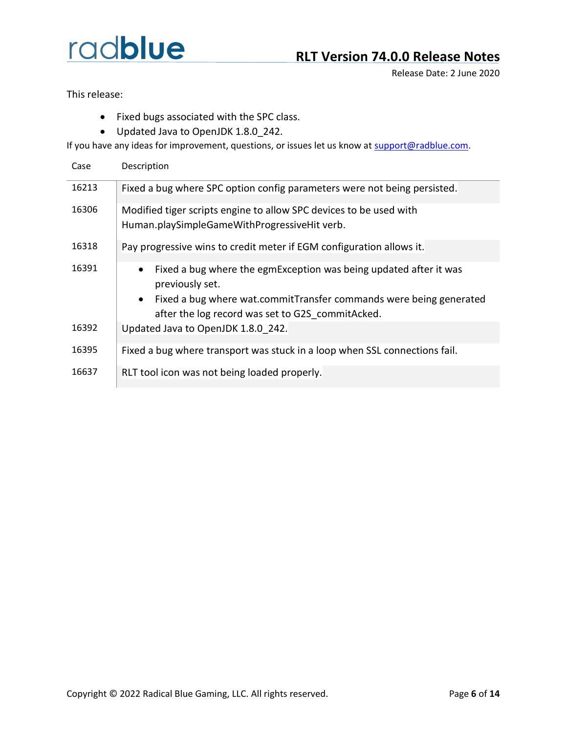### **RLT Version 74.0.0 Release Notes**

Release Date: 2 June 2020

This release:

- Fixed bugs associated with the SPC class.
- Updated Java to OpenJDK 1.8.0\_242.

| Case  | Description                                                                                                                         |
|-------|-------------------------------------------------------------------------------------------------------------------------------------|
| 16213 | Fixed a bug where SPC option config parameters were not being persisted.                                                            |
| 16306 | Modified tiger scripts engine to allow SPC devices to be used with<br>Human.playSimpleGameWithProgressiveHit verb.                  |
| 16318 | Pay progressive wins to credit meter if EGM configuration allows it.                                                                |
| 16391 | Fixed a bug where the egmException was being updated after it was<br>$\bullet$<br>previously set.                                   |
|       | Fixed a bug where wat.commitTransfer commands were being generated<br>$\bullet$<br>after the log record was set to G2S commitAcked. |
| 16392 | Updated Java to OpenJDK 1.8.0 242.                                                                                                  |
| 16395 | Fixed a bug where transport was stuck in a loop when SSL connections fail.                                                          |
| 16637 | RLT tool icon was not being loaded properly.                                                                                        |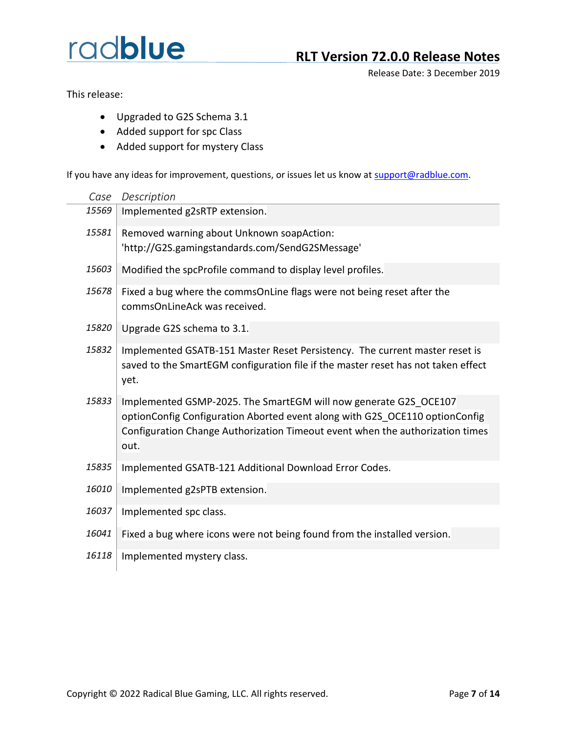### **RLT Version 72.0.0 Release Notes**

Release Date: 3 December 2019

This release:

- Upgraded to G2S Schema 3.1
- Added support for spc Class
- Added support for mystery Class

| Case  | Description                                                                                                                                                                                                                              |
|-------|------------------------------------------------------------------------------------------------------------------------------------------------------------------------------------------------------------------------------------------|
| 15569 | Implemented g2sRTP extension.                                                                                                                                                                                                            |
| 15581 | Removed warning about Unknown soapAction:<br>'http://G2S.gamingstandards.com/SendG2SMessage'                                                                                                                                             |
| 15603 | Modified the spcProfile command to display level profiles.                                                                                                                                                                               |
| 15678 | Fixed a bug where the commsOnLine flags were not being reset after the<br>commsOnLineAck was received.                                                                                                                                   |
| 15820 | Upgrade G2S schema to 3.1.                                                                                                                                                                                                               |
| 15832 | Implemented GSATB-151 Master Reset Persistency. The current master reset is<br>saved to the SmartEGM configuration file if the master reset has not taken effect<br>yet.                                                                 |
| 15833 | Implemented GSMP-2025. The SmartEGM will now generate G2S OCE107<br>optionConfig Configuration Aborted event along with G2S OCE110 optionConfig<br>Configuration Change Authorization Timeout event when the authorization times<br>out. |
| 15835 | Implemented GSATB-121 Additional Download Error Codes.                                                                                                                                                                                   |
| 16010 | Implemented g2sPTB extension.                                                                                                                                                                                                            |
| 16037 | Implemented spc class.                                                                                                                                                                                                                   |
| 16041 | Fixed a bug where icons were not being found from the installed version.                                                                                                                                                                 |
| 16118 | Implemented mystery class.                                                                                                                                                                                                               |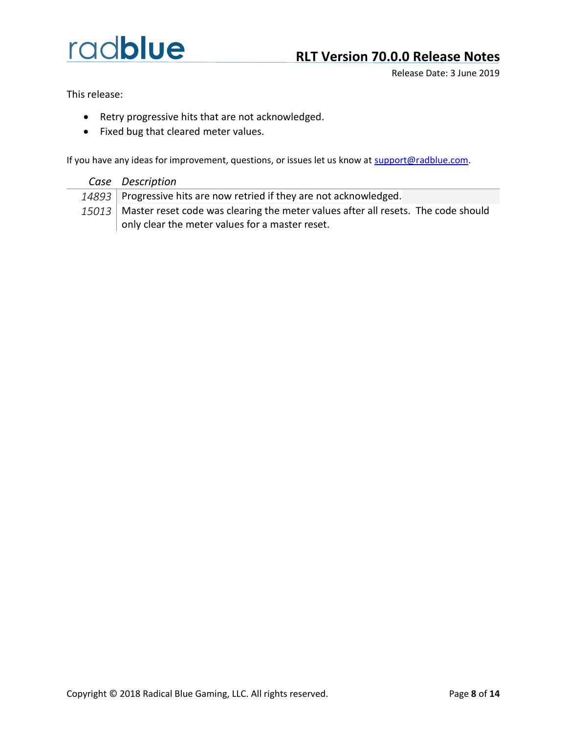### **RLT Version 70.0.0 Release Notes**

Release Date: 3 June 2019

This release:

- Retry progressive hits that are not acknowledged.
- Fixed bug that cleared meter values.

- *Case Description*
- 14893 Progressive hits are now retried if they are not acknowledged.
- 15013 Master reset code was clearing the meter values after all resets. The code should only clear the meter values for a master reset.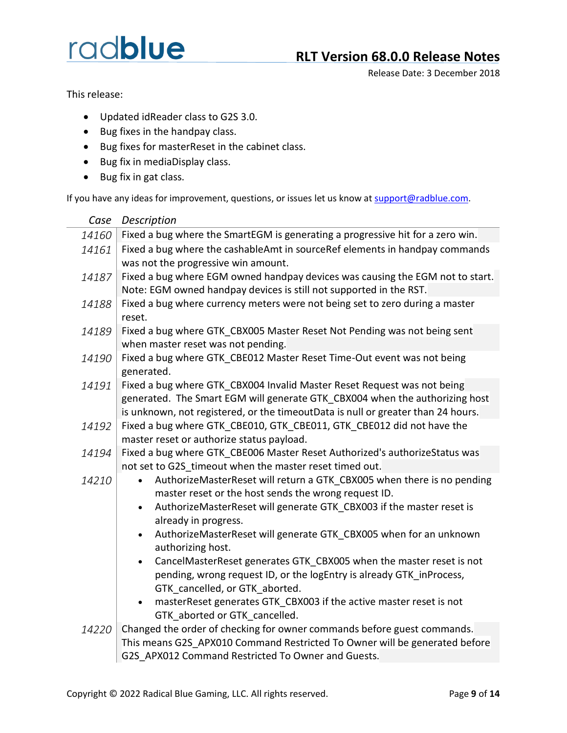### **RLT Version 68.0.0 Release Notes**

Release Date: 3 December 2018

This release:

- Updated idReader class to G2S 3.0.
- Bug fixes in the handpay class.
- Bug fixes for masterReset in the cabinet class.
- Bug fix in mediaDisplay class.
- Bug fix in gat class.

| Case  | Description                                                                                              |
|-------|----------------------------------------------------------------------------------------------------------|
| 14160 | Fixed a bug where the SmartEGM is generating a progressive hit for a zero win.                           |
| 14161 | Fixed a bug where the cashableAmt in sourceRef elements in handpay commands                              |
|       | was not the progressive win amount.                                                                      |
| 14187 | Fixed a bug where EGM owned handpay devices was causing the EGM not to start.                            |
|       | Note: EGM owned handpay devices is still not supported in the RST.                                       |
| 14188 | Fixed a bug where currency meters were not being set to zero during a master                             |
|       | reset.                                                                                                   |
| 14189 | Fixed a bug where GTK_CBX005 Master Reset Not Pending was not being sent                                 |
|       | when master reset was not pending.                                                                       |
| 14190 | Fixed a bug where GTK CBE012 Master Reset Time-Out event was not being                                   |
|       | generated.                                                                                               |
| 14191 | Fixed a bug where GTK CBX004 Invalid Master Reset Request was not being                                  |
|       | generated. The Smart EGM will generate GTK CBX004 when the authorizing host                              |
|       | is unknown, not registered, or the timeoutData is null or greater than 24 hours.                         |
| 14192 | Fixed a bug where GTK_CBE010, GTK_CBE011, GTK_CBE012 did not have the                                    |
|       | master reset or authorize status payload.                                                                |
| 14194 | Fixed a bug where GTK CBE006 Master Reset Authorized's authorizeStatus was                               |
|       | not set to G2S timeout when the master reset timed out.                                                  |
| 14210 | AuthorizeMasterReset will return a GTK CBX005 when there is no pending<br>$\bullet$                      |
|       | master reset or the host sends the wrong request ID.                                                     |
|       | AuthorizeMasterReset will generate GTK_CBX003 if the master reset is<br>$\bullet$                        |
|       | already in progress.                                                                                     |
|       | AuthorizeMasterReset will generate GTK_CBX005 when for an unknown<br>$\bullet$                           |
|       | authorizing host.                                                                                        |
|       | CancelMasterReset generates GTK CBX005 when the master reset is not<br>$\bullet$                         |
|       | pending, wrong request ID, or the logEntry is already GTK inProcess,                                     |
|       | GTK_cancelled, or GTK_aborted.                                                                           |
|       | masterReset generates GTK CBX003 if the active master reset is not<br>$\bullet$                          |
|       | GTK aborted or GTK_cancelled.<br>Changed the order of checking for owner commands before guest commands. |
| 14220 | This means G2S APX010 Command Restricted To Owner will be generated before                               |
|       |                                                                                                          |
|       | G2S APX012 Command Restricted To Owner and Guests.                                                       |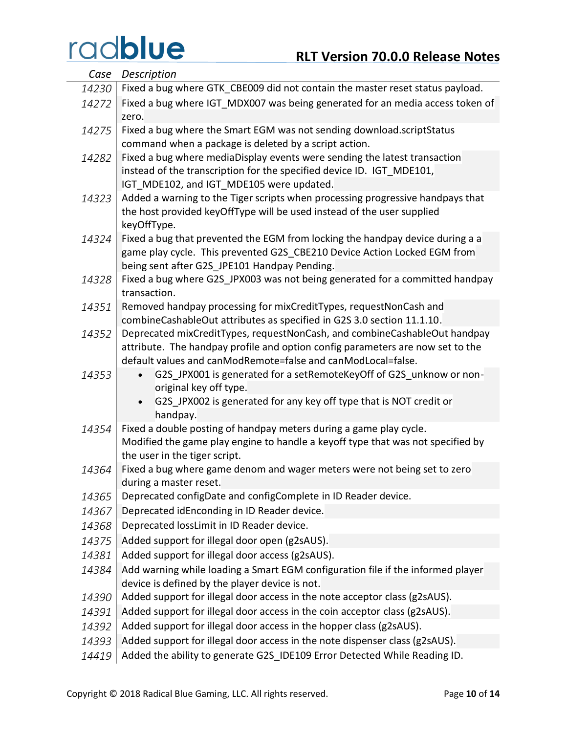| Case  | Description                                                                                  |
|-------|----------------------------------------------------------------------------------------------|
| 14230 | Fixed a bug where GTK CBE009 did not contain the master reset status payload.                |
| 14272 | Fixed a bug where IGT MDX007 was being generated for an media access token of<br>zero.       |
| 14275 | Fixed a bug where the Smart EGM was not sending download.scriptStatus                        |
|       | command when a package is deleted by a script action.                                        |
| 14282 | Fixed a bug where mediaDisplay events were sending the latest transaction                    |
|       | instead of the transcription for the specified device ID. IGT MDE101,                        |
|       | IGT MDE102, and IGT MDE105 were updated.                                                     |
| 14323 | Added a warning to the Tiger scripts when processing progressive handpays that               |
|       | the host provided keyOffType will be used instead of the user supplied<br>keyOffType.        |
| 14324 | Fixed a bug that prevented the EGM from locking the handpay device during a a                |
|       | game play cycle. This prevented G2S CBE210 Device Action Locked EGM from                     |
|       | being sent after G2S JPE101 Handpay Pending.                                                 |
| 14328 | Fixed a bug where G2S JPX003 was not being generated for a committed handpay<br>transaction. |
| 14351 | Removed handpay processing for mixCreditTypes, requestNonCash and                            |
|       | combineCashableOut attributes as specified in G2S 3.0 section 11.1.10.                       |
| 14352 | Deprecated mixCreditTypes, requestNonCash, and combineCashableOut handpay                    |
|       | attribute. The handpay profile and option config parameters are now set to the               |
|       | default values and canModRemote=false and canModLocal=false.                                 |
| 14353 | G2S_JPX001 is generated for a setRemoteKeyOff of G2S_unknow or non-                          |
|       | original key off type.<br>G2S JPX002 is generated for any key off type that is NOT credit or |
|       | handpay.                                                                                     |
| 14354 | Fixed a double posting of handpay meters during a game play cycle.                           |
|       | Modified the game play engine to handle a keyoff type that was not specified by              |
|       | the user in the tiger script.                                                                |
| 14364 | Fixed a bug where game denom and wager meters were not being set to zero                     |
|       | during a master reset.                                                                       |
| 14365 | Deprecated configDate and configComplete in ID Reader device.                                |
| 14367 | Deprecated idEnconding in ID Reader device.                                                  |
| 14368 | Deprecated lossLimit in ID Reader device.                                                    |
| 14375 | Added support for illegal door open (g2sAUS).                                                |
| 14381 | Added support for illegal door access (g2sAUS).                                              |
| 14384 | Add warning while loading a Smart EGM configuration file if the informed player              |
|       | device is defined by the player device is not.                                               |
| 14390 | Added support for illegal door access in the note acceptor class (g2sAUS).                   |
| 14391 | Added support for illegal door access in the coin acceptor class (g2sAUS).                   |
| 14392 | Added support for illegal door access in the hopper class (g2sAUS).                          |
| 14393 | Added support for illegal door access in the note dispenser class (g2sAUS).                  |
| 14419 | Added the ability to generate G2S IDE109 Error Detected While Reading ID.                    |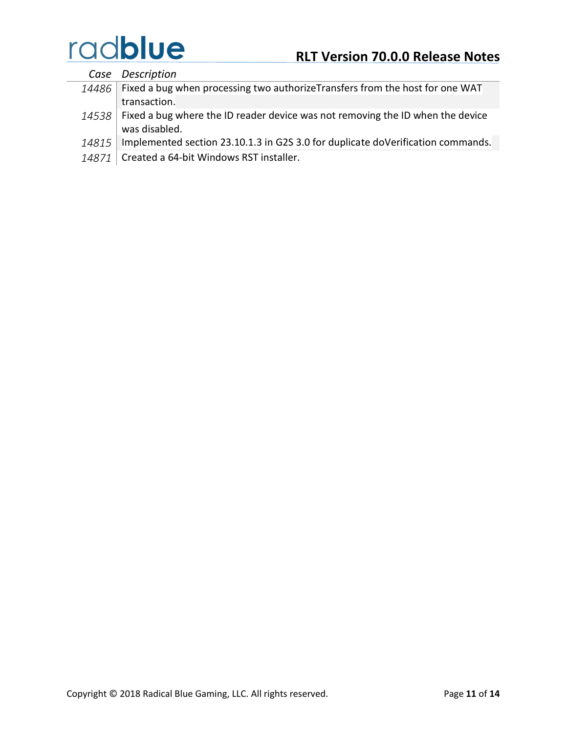*Case Description 14486* Fixed a bug when processing two authorizeTransfers from the host for one WAT transaction. 14538 Fixed a bug where the ID reader device was not removing the ID when the device was disabled. 14815 | Implemented section 23.10.1.3 in G2S 3.0 for duplicate doVerification commands.

14871 Created a 64-bit Windows RST installer.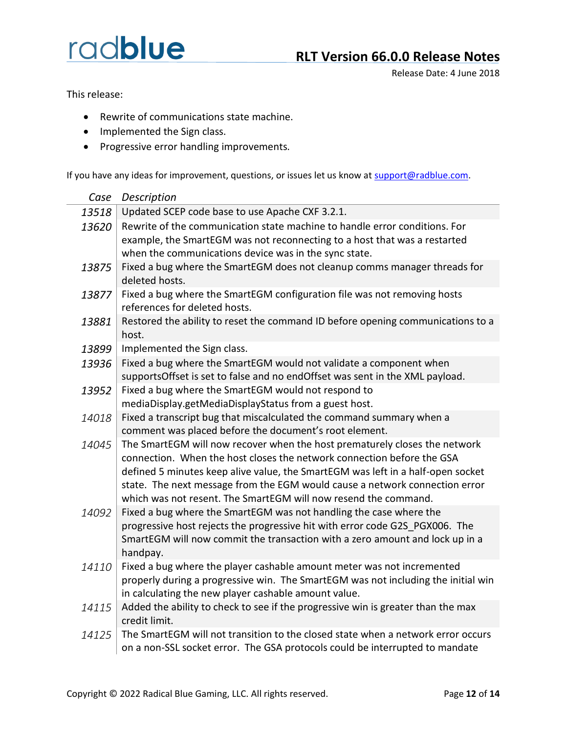### **RLT Version 66.0.0 Release Notes**

Release Date: 4 June 2018

This release:

- Rewrite of communications state machine.
- Implemented the Sign class.
- Progressive error handling improvements.

| Case  | Description                                                                                                                                                                                                                                                                                                                                                                               |
|-------|-------------------------------------------------------------------------------------------------------------------------------------------------------------------------------------------------------------------------------------------------------------------------------------------------------------------------------------------------------------------------------------------|
| 13518 | Updated SCEP code base to use Apache CXF 3.2.1.                                                                                                                                                                                                                                                                                                                                           |
| 13620 | Rewrite of the communication state machine to handle error conditions. For<br>example, the SmartEGM was not reconnecting to a host that was a restarted<br>when the communications device was in the sync state.                                                                                                                                                                          |
| 13875 | Fixed a bug where the SmartEGM does not cleanup comms manager threads for<br>deleted hosts.                                                                                                                                                                                                                                                                                               |
| 13877 | Fixed a bug where the SmartEGM configuration file was not removing hosts<br>references for deleted hosts.                                                                                                                                                                                                                                                                                 |
| 13881 | Restored the ability to reset the command ID before opening communications to a<br>host.                                                                                                                                                                                                                                                                                                  |
| 13899 | Implemented the Sign class.                                                                                                                                                                                                                                                                                                                                                               |
| 13936 | Fixed a bug where the SmartEGM would not validate a component when<br>supportsOffset is set to false and no endOffset was sent in the XML payload.                                                                                                                                                                                                                                        |
| 13952 | Fixed a bug where the SmartEGM would not respond to<br>mediaDisplay.getMediaDisplayStatus from a guest host.                                                                                                                                                                                                                                                                              |
| 14018 | Fixed a transcript bug that miscalculated the command summary when a<br>comment was placed before the document's root element.                                                                                                                                                                                                                                                            |
| 14045 | The SmartEGM will now recover when the host prematurely closes the network<br>connection. When the host closes the network connection before the GSA<br>defined 5 minutes keep alive value, the SmartEGM was left in a half-open socket<br>state. The next message from the EGM would cause a network connection error<br>which was not resent. The SmartEGM will now resend the command. |
| 14092 | Fixed a bug where the SmartEGM was not handling the case where the<br>progressive host rejects the progressive hit with error code G2S_PGX006. The<br>SmartEGM will now commit the transaction with a zero amount and lock up in a<br>handpay.                                                                                                                                            |
| 14110 | Fixed a bug where the player cashable amount meter was not incremented<br>properly during a progressive win. The SmartEGM was not including the initial win<br>in calculating the new player cashable amount value.                                                                                                                                                                       |
| 14115 | Added the ability to check to see if the progressive win is greater than the max<br>credit limit.                                                                                                                                                                                                                                                                                         |
| 14125 | The SmartEGM will not transition to the closed state when a network error occurs<br>on a non-SSL socket error. The GSA protocols could be interrupted to mandate                                                                                                                                                                                                                          |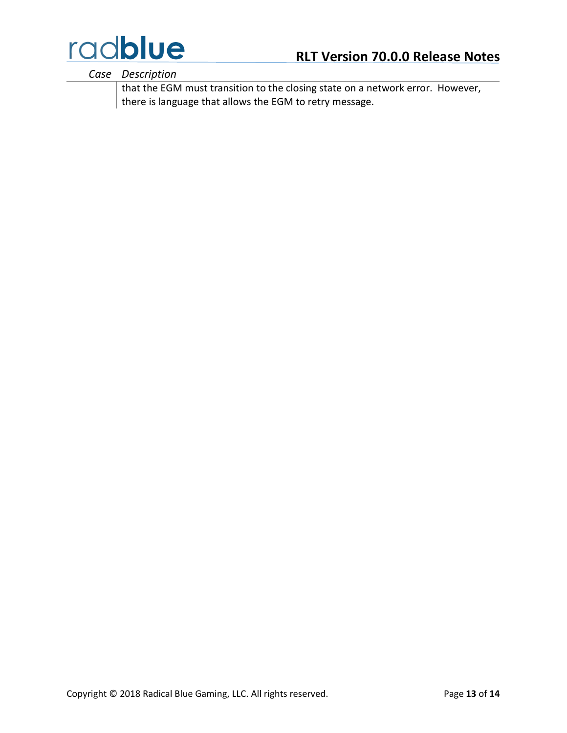

*Case Description*

that the EGM must transition to the closing state on a network error. However, there is language that allows the EGM to retry message.